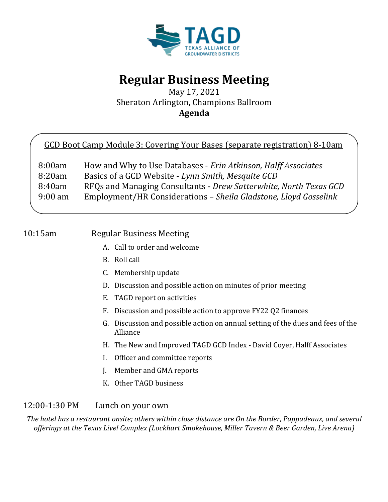

# **Regular Business Meeting**

May 17, 2021 Sheraton Arlington, Champions Ballroom **Agenda**

|  |  | GCD Boot Camp Module 3: Covering Your Bases (separate registration) 8-10am |  |
|--|--|----------------------------------------------------------------------------|--|
|  |  |                                                                            |  |

| 8:00am            | How and Why to Use Databases - Erin Atkinson, Halff Associates    |
|-------------------|-------------------------------------------------------------------|
| 8:20am            | Basics of a GCD Website - Lynn Smith, Mesquite GCD                |
| 8:40am            | RFQs and Managing Consultants - Drew Satterwhite, North Texas GCD |
| $9:00 \text{ am}$ | Employment/HR Considerations - Sheila Gladstone, Lloyd Gosselink  |

# 10:15am Regular Business Meeting

- A. Call to order and welcome
- B. Roll call
- C. Membership update
- D. Discussion and possible action on minutes of prior meeting
- E. TAGD report on activities
- F. Discussion and possible action to approve FY22 Q2 finances
- G. Discussion and possible action on annual setting of the dues and fees of the Alliance
- H. The New and Improved TAGD GCD Index David Coyer, Halff Associates
- I. Officer and committee reports
- J. Member and GMA reports
- K. Other TAGD business

## 12:00-1:30 PM Lunch on your own

*The hotel has a restaurant onsite; others within close distance are On the Border, Pappadeaux, and several offerings at the Texas Live! Complex (Lockhart Smokehouse, Miller Tavern & Beer Garden, Live Arena)*